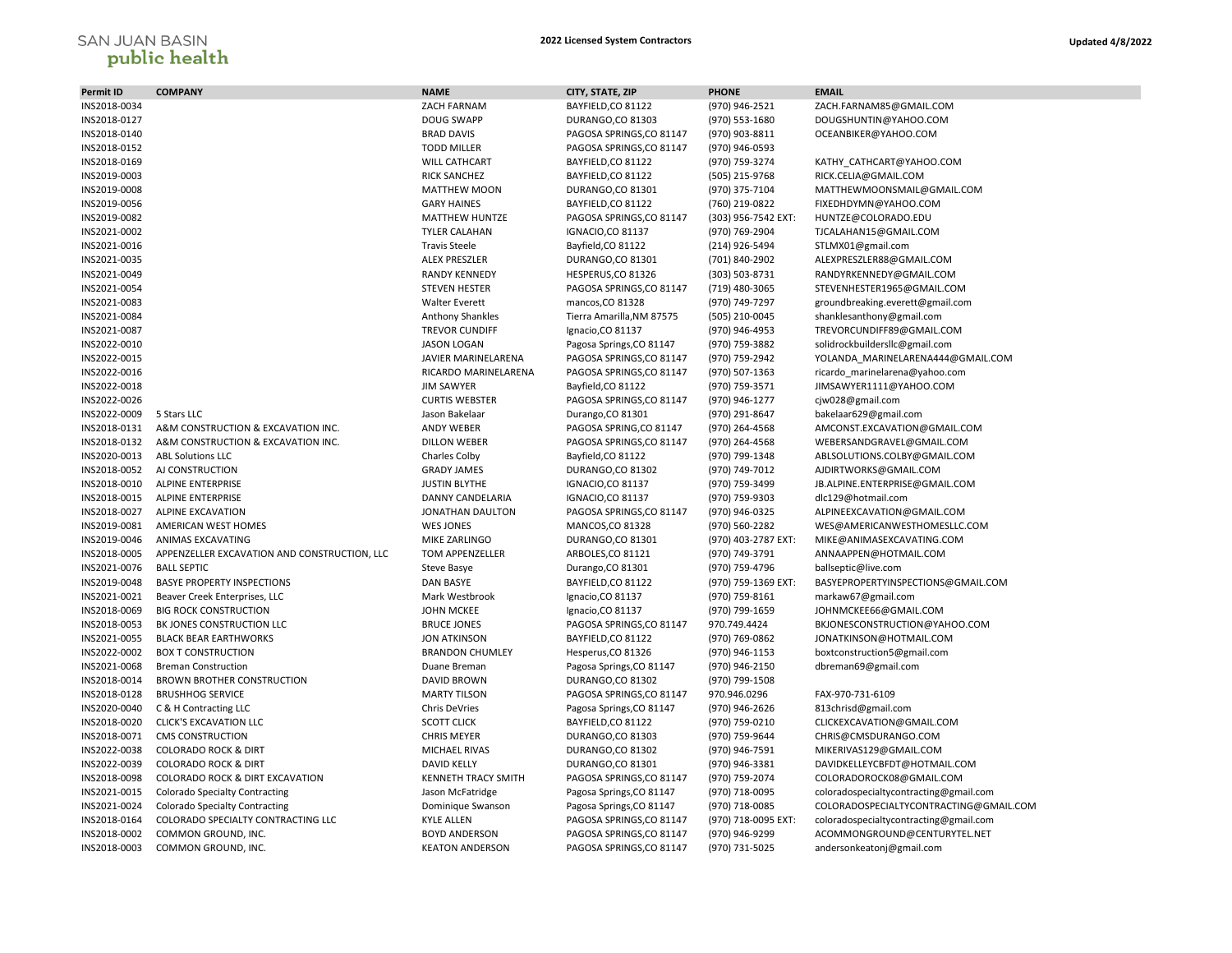## SAN JUAN BASIN<br>**public health**

| Permit ID    | <b>COMPANY</b>                               | <b>NAME</b>                               | CITY, STATE, ZIP          | <b>PHONE</b>        | <b>EMAIL</b>                           |
|--------------|----------------------------------------------|-------------------------------------------|---------------------------|---------------------|----------------------------------------|
| INS2018-0034 |                                              | ZACH FARNAM                               | BAYFIELD, CO 81122        | (970) 946-2521      | ZACH.FARNAM85@GMAIL.COM                |
| INS2018-0127 |                                              | <b>DOUG SWAPP</b>                         | DURANGO,CO 81303          | (970) 553-1680      | DOUGSHUNTIN@YAHOO.COM                  |
| INS2018-0140 |                                              | <b>BRAD DAVIS</b>                         | PAGOSA SPRINGS, CO 81147  | (970) 903-8811      | OCEANBIKER@YAHOO.COM                   |
| INS2018-0152 |                                              | <b>TODD MILLER</b>                        | PAGOSA SPRINGS, CO 81147  | (970) 946-0593      |                                        |
| INS2018-0169 |                                              | <b>WILL CATHCART</b>                      | BAYFIELD, CO 81122        | (970) 759-3274      | KATHY_CATHCART@YAHOO.COM               |
| INS2019-0003 |                                              | <b>RICK SANCHEZ</b>                       | BAYFIELD, CO 81122        | (505) 215-9768      | RICK.CELIA@GMAIL.COM                   |
| INS2019-0008 |                                              | <b>MATTHEW MOON</b>                       | DURANGO, CO 81301         | (970) 375-7104      | MATTHEWMOONSMAIL@GMAIL.COM             |
| INS2019-0056 |                                              | <b>GARY HAINES</b>                        | BAYFIELD, CO 81122        | (760) 219-0822      | FIXEDHDYMN@YAHOO.COM                   |
| INS2019-0082 |                                              | MATTHEW HUNTZE                            | PAGOSA SPRINGS, CO 81147  | (303) 956-7542 EXT: | HUNTZE@COLORADO.EDU                    |
| INS2021-0002 |                                              | <b>TYLER CALAHAN</b>                      | <b>IGNACIO, CO 81137</b>  | (970) 769-2904      | TJCALAHAN15@GMAIL.COM                  |
| INS2021-0016 |                                              | <b>Travis Steele</b>                      | Bayfield, CO 81122        | (214) 926-5494      | STLMX01@gmail.com                      |
| INS2021-0035 |                                              | <b>ALEX PRESZLER</b>                      | DURANGO, CO 81301         | (701) 840-2902      | ALEXPRESZLER88@GMAIL.COM               |
| INS2021-0049 |                                              | <b>RANDY KENNEDY</b>                      | HESPERUS, CO 81326        | (303) 503-8731      | RANDYRKENNEDY@GMAIL.COM                |
| INS2021-0054 |                                              | <b>STEVEN HESTER</b>                      | PAGOSA SPRINGS, CO 81147  | (719) 480-3065      | STEVENHESTER1965@GMAIL.COM             |
| INS2021-0083 |                                              | <b>Walter Everett</b>                     | mancos, CO 81328          | (970) 749-7297      |                                        |
| INS2021-0084 |                                              |                                           | Tierra Amarilla, NM 87575 | (505) 210-0045      | groundbreaking.everett@gmail.com       |
|              |                                              | Anthony Shankles<br><b>TREVOR CUNDIFF</b> |                           |                     | shanklesanthony@gmail.com              |
| INS2021-0087 |                                              |                                           | Ignacio, CO 81137         | (970) 946-4953      | TREVORCUNDIFF89@GMAIL.COM              |
| INS2022-0010 |                                              | <b>JASON LOGAN</b>                        | Pagosa Springs, CO 81147  | (970) 759-3882      | solidrockbuildersllc@gmail.com         |
| INS2022-0015 |                                              | JAVIER MARINELARENA                       | PAGOSA SPRINGS, CO 81147  | (970) 759-2942      | YOLANDA_MARINELARENA444@GMAIL.COM      |
| INS2022-0016 |                                              | RICARDO MARINELARENA                      | PAGOSA SPRINGS, CO 81147  | (970) 507-1363      | ricardo marinelarena@yahoo.com         |
| INS2022-0018 |                                              | <b>JIM SAWYER</b>                         | Bayfield, CO 81122        | (970) 759-3571      | JIMSAWYER1111@YAHOO.COM                |
| INS2022-0026 |                                              | <b>CURTIS WEBSTER</b>                     | PAGOSA SPRINGS, CO 81147  | (970) 946-1277      | cjw028@gmail.com                       |
| INS2022-0009 | 5 Stars LLC                                  | Jason Bakelaar                            | Durango, CO 81301         | (970) 291-8647      | bakelaar629@gmail.com                  |
| INS2018-0131 | A&M CONSTRUCTION & EXCAVATION INC.           | <b>ANDY WEBER</b>                         | PAGOSA SPRING, CO 81147   | (970) 264-4568      | AMCONST.EXCAVATION@GMAIL.COM           |
| INS2018-0132 | A&M CONSTRUCTION & EXCAVATION INC.           | <b>DILLON WEBER</b>                       | PAGOSA SPRINGS, CO 81147  | (970) 264-4568      | WEBERSANDGRAVEL@GMAIL.COM              |
| INS2020-0013 | <b>ABL Solutions LLC</b>                     | Charles Colby                             | Bayfield, CO 81122        | (970) 799-1348      | ABLSOLUTIONS.COLBY@GMAIL.COM           |
| INS2018-0052 | AJ CONSTRUCTION                              | <b>GRADY JAMES</b>                        | DURANGO, CO 81302         | (970) 749-7012      | AJDIRTWORKS@GMAIL.COM                  |
| INS2018-0010 | <b>ALPINE ENTERPRISE</b>                     | <b>JUSTIN BLYTHE</b>                      | <b>IGNACIO,CO 81137</b>   | (970) 759-3499      | JB.ALPINE.ENTERPRISE@GMAIL.COM         |
| INS2018-0015 | <b>ALPINE ENTERPRISE</b>                     | DANNY CANDELARIA                          | <b>IGNACIO,CO 81137</b>   | (970) 759-9303      | dlc129@hotmail.com                     |
| INS2018-0027 | <b>ALPINE EXCAVATION</b>                     | JONATHAN DAULTON                          | PAGOSA SPRINGS, CO 81147  | (970) 946-0325      | ALPINEEXCAVATION@GMAIL.COM             |
| INS2019-0081 | AMERICAN WEST HOMES                          | <b>WES JONES</b>                          | MANCOS, CO 81328          | (970) 560-2282      | WES@AMERICANWESTHOMESLLC.COM           |
| INS2019-0046 | ANIMAS EXCAVATING                            | MIKE ZARLINGO                             | DURANGO, CO 81301         | (970) 403-2787 EXT: | MIKE@ANIMASEXCAVATING.COM              |
| INS2018-0005 | APPENZELLER EXCAVATION AND CONSTRUCTION, LLC | TOM APPENZELLER                           | ARBOLES, CO 81121         | (970) 749-3791      | ANNAAPPEN@HOTMAIL.COM                  |
| INS2021-0076 | <b>BALL SEPTIC</b>                           | Steve Basye                               | Durango, CO 81301         | (970) 759-4796      | ballseptic@live.com                    |
| INS2019-0048 | <b>BASYE PROPERTY INSPECTIONS</b>            | <b>DAN BASYE</b>                          | BAYFIELD, CO 81122        | (970) 759-1369 EXT: | BASYEPROPERTYINSPECTIONS@GMAIL.COM     |
| INS2021-0021 | Beaver Creek Enterprises, LLC                | Mark Westbrook                            | Ignacio, CO 81137         | (970) 759-8161      | markaw67@gmail.com                     |
| INS2018-0069 | <b>BIG ROCK CONSTRUCTION</b>                 | <b>JOHN MCKEE</b>                         | Ignacio, CO 81137         | (970) 799-1659      | JOHNMCKEE66@GMAIL.COM                  |
| INS2018-0053 | BK JONES CONSTRUCTION LLC                    | <b>BRUCE JONES</b>                        | PAGOSA SPRINGS, CO 81147  | 970.749.4424        | BKJONESCONSTRUCTION@YAHOO.COM          |
| INS2021-0055 | <b>BLACK BEAR EARTHWORKS</b>                 | <b>JON ATKINSON</b>                       | BAYFIELD, CO 81122        | (970) 769-0862      | JONATKINSON@HOTMAIL.COM                |
| INS2022-0002 | <b>BOX T CONSTRUCTION</b>                    | <b>BRANDON CHUMLEY</b>                    | Hesperus, CO 81326        | (970) 946-1153      | boxtconstruction5@gmail.com            |
| INS2021-0068 | <b>Breman Construction</b>                   | Duane Breman                              | Pagosa Springs, CO 81147  | (970) 946-2150      | dbreman69@gmail.com                    |
| INS2018-0014 | BROWN BROTHER CONSTRUCTION                   | DAVID BROWN                               | DURANGO, CO 81302         | (970) 799-1508      |                                        |
| INS2018-0128 | <b>BRUSHHOG SERVICE</b>                      | <b>MARTY TILSON</b>                       | PAGOSA SPRINGS, CO 81147  | 970.946.0296        | FAX-970-731-6109                       |
| INS2020-0040 | C & H Contracting LLC                        | <b>Chris DeVries</b>                      | Pagosa Springs, CO 81147  | (970) 946-2626      | 813chrisd@gmail.com                    |
| INS2018-0020 | <b>CLICK'S EXCAVATION LLC</b>                | <b>SCOTT CLICK</b>                        | BAYFIELD, CO 81122        | (970) 759-0210      | CLICKEXCAVATION@GMAIL.COM              |
| INS2018-0071 | <b>CMS CONSTRUCTION</b>                      | <b>CHRIS MEYER</b>                        | DURANGO, CO 81303         | (970) 759-9644      | CHRIS@CMSDURANGO.COM                   |
| INS2022-0038 | <b>COLORADO ROCK &amp; DIRT</b>              | MICHAEL RIVAS                             | DURANGO, CO 81302         | (970) 946-7591      | MIKERIVAS129@GMAIL.COM                 |
| INS2022-0039 | <b>COLORADO ROCK &amp; DIRT</b>              | <b>DAVID KELLY</b>                        | DURANGO,CO 81301          | (970) 946-3381      | DAVIDKELLEYCBFDT@HOTMAIL.COM           |
| INS2018-0098 | COLORADO ROCK & DIRT EXCAVATION              | KENNETH TRACY SMITH                       | PAGOSA SPRINGS, CO 81147  | (970) 759-2074      | COLORADOROCK08@GMAIL.COM               |
| INS2021-0015 | <b>Colorado Specialty Contracting</b>        | Jason McFatridge                          | Pagosa Springs, CO 81147  | (970) 718-0095      | coloradospecialtycontracting@gmail.com |
| INS2021-0024 | <b>Colorado Specialty Contracting</b>        | Dominique Swanson                         | Pagosa Springs, CO 81147  | (970) 718-0085      | COLORADOSPECIALTYCONTRACTING@GMAIL.COM |
| INS2018-0164 | COLORADO SPECIALTY CONTRACTING LLC           | <b>KYLE ALLEN</b>                         | PAGOSA SPRINGS, CO 81147  | (970) 718-0095 EXT: | coloradospecialtycontracting@gmail.com |
| INS2018-0002 | COMMON GROUND, INC.                          | <b>BOYD ANDERSON</b>                      | PAGOSA SPRINGS, CO 81147  | (970) 946-9299      | ACOMMONGROUND@CENTURYTEL.NET           |
| INS2018-0003 | COMMON GROUND, INC.                          | <b>KEATON ANDERSON</b>                    | PAGOSA SPRINGS, CO 81147  | (970) 731-5025      | andersonkeatonj@gmail.com              |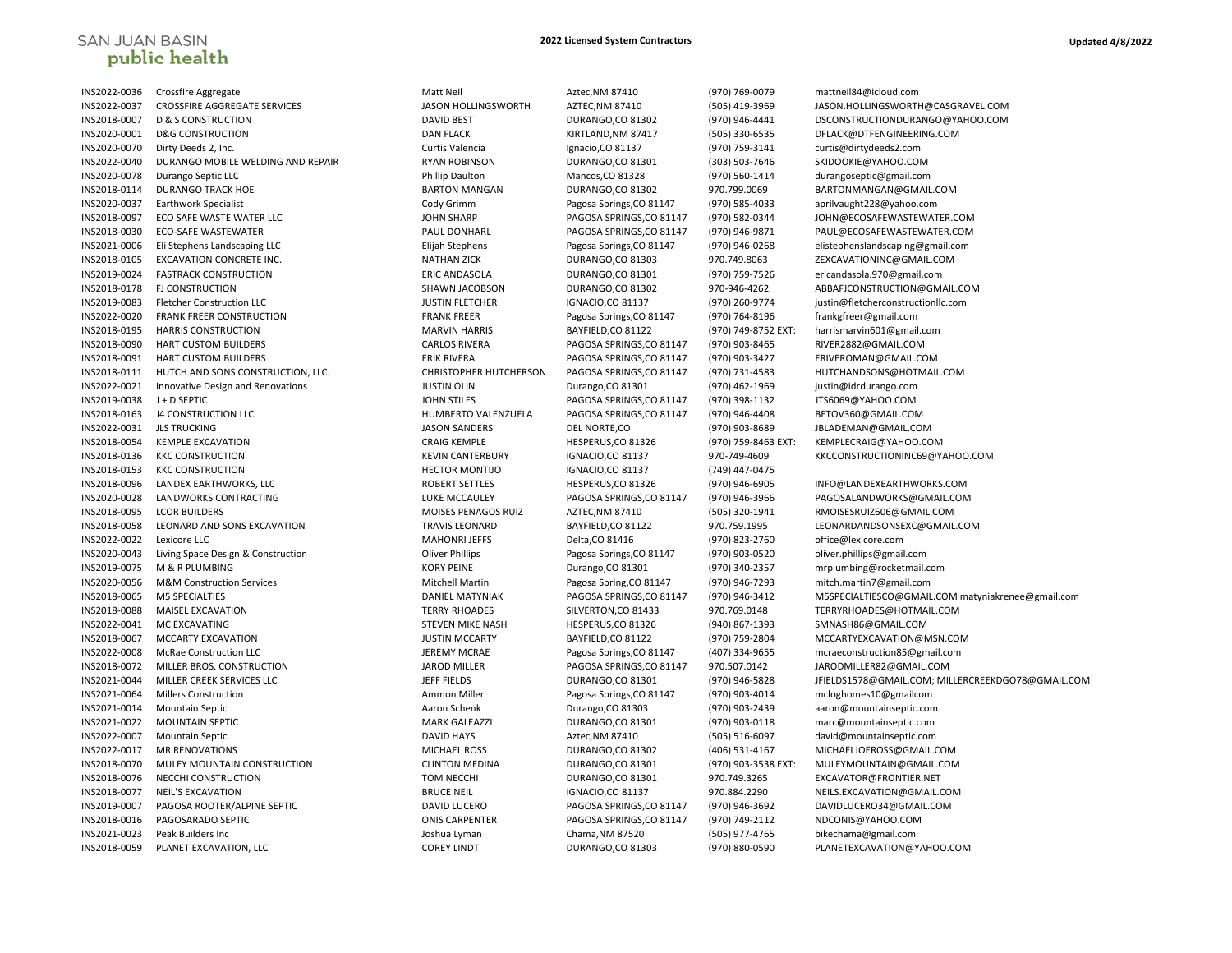## SAN JUAN BASIN<br>**public health**

| INS2022-0036 | Crossfire Aggregate                  |
|--------------|--------------------------------------|
| INS2022-0037 | CROSSFIRE AGGREGATE SERVICES         |
| INS2018-0007 | <b>D &amp; S CONSTRUCTION</b>        |
| INS2020-0001 | <b>D&amp;G CONSTRUCTION</b>          |
| INS2020-0070 | Dirty Deeds 2, Inc.                  |
| INS2022-0040 | DURANGO MOBILE WELDING AND REPAIR    |
| INS2020-0078 | Durango Septic LLC                   |
| INS2018-0114 | <b>DURANGO TRACK HOE</b>             |
| INS2020-0037 | <b>Earthwork Specialist</b>          |
| INS2018-0097 | ECO SAFE WASTE WATER LLC             |
| INS2018-0030 | <b>ECO-SAFE WASTEWATER</b>           |
| INS2021-0006 | Eli Stephens Landscaping LLC         |
| INS2018-0105 | EXCAVATION CONCRETE INC.             |
| INS2019-0024 | <b>FASTRACK CONSTRUCTION</b>         |
| INS2018-0178 | <b>FJ CONSTRUCTION</b>               |
| INS2019-0083 | <b>Fletcher Construction LLC</b>     |
| INS2022-0020 | FRANK FREER CONSTRUCTION             |
| INS2018-0195 | <b>HARRIS CONSTRUCTION</b>           |
| INS2018-0090 | HART CUSTOM BUILDERS                 |
| INS2018-0091 | <b>HART CUSTOM BUILDERS</b>          |
| INS2018-0111 | HUTCH AND SONS CONSTRUCTION, LLC.    |
| INS2022-0021 | Innovative Design and Renovations    |
| INS2019-0038 | J + D SEPTIC                         |
| INS2018-0163 | <b>J4 CONSTRUCTION LLC</b>           |
| INS2022-0031 | <b>JLS TRUCKING</b>                  |
| INS2018-0054 | <b>KEMPLE EXCAVATION</b>             |
| INS2018-0136 | <b>KKC CONSTRUCTION</b>              |
| INS2018-0153 | <b>KKC CONSTRUCTION</b>              |
| INS2018-0096 | LANDEX EARTHWORKS, LLC               |
| INS2020-0028 | LANDWORKS CONTRACTING                |
| INS2018-0095 | <b>LCOR BUILDERS</b>                 |
| INS2018-0058 | LEONARD AND SONS EXCAVATION          |
| INS2022-0022 | Lexicore LLC                         |
| INS2020-0043 | Living Space Design & Construction   |
| INS2019-0075 | M & R PLUMBING                       |
| INS2020-0056 | <b>M&amp;M Construction Services</b> |
| INS2018-0065 | <b>M5 SPECIALTIES</b>                |
| INS2018-0088 | MAISEL EXCAVATION                    |
| INS2022-0041 | MC EXCAVATING                        |
| INS2018-0067 | MCCARTY EXCAVATION                   |
| INS2022-0008 | <b>McRae Construction LLC</b>        |
| INS2018-0072 | MILLER BROS. CONSTRUCTION            |
| INS2021-0044 | MILLER CREEK SERVICES LLC            |
| INS2021-0064 | <b>Millers Construction</b>          |
| INS2021-0014 | <b>Mountain Septic</b>               |
| INS2021-0022 | <b>MOUNTAIN SEPTIC</b>               |
| INS2022-0007 | <b>Mountain Septic</b>               |
| INS2022-0017 | <b>MR RENOVATIONS</b>                |
| INS2018-0070 | MULEY MOUNTAIN CONSTRUCTION          |
| INS2018-0076 | NECCHI CONSTRUCTION                  |
| INS2018-0077 | <b>NEIL'S EXCAVATION</b>             |
| INS2019-0007 | PAGOSA ROOTER/ALPINE SEPTIC          |
| INS2018-0016 | PAGOSARADO SEPTIC                    |
| INS2021-0023 | Peak Builders Inc                    |
| INS2018-0059 | PLANET EXCAVATION, LLC               |
|              |                                      |

| INS2022-0036 | Crossfire Aggregate                | Matt Neil                     | Aztec, NM 87410          | (970) 769-0079      | mattneil84@icloud.com                             |
|--------------|------------------------------------|-------------------------------|--------------------------|---------------------|---------------------------------------------------|
| INS2022-0037 | CROSSFIRE AGGREGATE SERVICES       | JASON HOLLINGSWORTH           | AZTEC, NM 87410          | (505) 419-3969      | JASON.HOLLINGSWORTH@CASGRAVEL.COM                 |
| INS2018-0007 | <b>D &amp; S CONSTRUCTION</b>      | <b>DAVID BEST</b>             | DURANGO, CO 81302        | (970) 946-4441      | DSCONSTRUCTIONDURANGO@YAHOO.COM                   |
| INS2020-0001 | <b>D&amp;G CONSTRUCTION</b>        | <b>DAN FLACK</b>              | KIRTLAND, NM 87417       | (505) 330-6535      | DFLACK@DTFENGINEERING.COM                         |
| INS2020-0070 | Dirty Deeds 2, Inc.                | Curtis Valencia               | Ignacio, CO 81137        | (970) 759-3141      | curtis@dirtydeeds2.com                            |
| INS2022-0040 | DURANGO MOBILE WELDING AND REPAIR  | <b>RYAN ROBINSON</b>          | DURANGO, CO 81301        | (303) 503-7646      | SKIDOOKIE@YAHOO.COM                               |
| INS2020-0078 | Durango Septic LLC                 | Phillip Daulton               | Mancos, CO 81328         | (970) 560-1414      | durangoseptic@gmail.com                           |
| INS2018-0114 | <b>DURANGO TRACK HOE</b>           | <b>BARTON MANGAN</b>          | DURANGO, CO 81302        | 970.799.0069        | BARTONMANGAN@GMAIL.COM                            |
| INS2020-0037 | <b>Earthwork Specialist</b>        | Cody Grimm                    | Pagosa Springs, CO 81147 | (970) 585-4033      | aprilvaught228@yahoo.com                          |
| INS2018-0097 | ECO SAFE WASTE WATER LLC           | <b>JOHN SHARP</b>             | PAGOSA SPRINGS, CO 81147 | (970) 582-0344      | JOHN@ECOSAFEWASTEWATER.COM                        |
| INS2018-0030 | <b>ECO-SAFE WASTEWATER</b>         | PAUL DONHARL                  | PAGOSA SPRINGS, CO 81147 | (970) 946-9871      | PAUL@ECOSAFEWASTEWATER.COM                        |
| INS2021-0006 | Eli Stephens Landscaping LLC       | Elijah Stephens               | Pagosa Springs, CO 81147 | (970) 946-0268      | elistephenslandscaping@gmail.com                  |
| INS2018-0105 | <b>EXCAVATION CONCRETE INC.</b>    | <b>NATHAN ZICK</b>            | DURANGO,CO 81303         | 970.749.8063        | ZEXCAVATIONINC@GMAIL.COM                          |
| INS2019-0024 | <b>FASTRACK CONSTRUCTION</b>       | <b>ERIC ANDASOLA</b>          | DURANGO, CO 81301        | (970) 759-7526      | ericandasola.970@gmail.com                        |
| INS2018-0178 | <b>FJ CONSTRUCTION</b>             | SHAWN JACOBSON                | DURANGO, CO 81302        | 970-946-4262        | ABBAFJCONSTRUCTION@GMAIL.COM                      |
| INS2019-0083 | Fletcher Construction LLC          | <b>JUSTIN FLETCHER</b>        | <b>IGNACIO,CO 81137</b>  | (970) 260-9774      | justin@fletcherconstructionllc.com                |
| INS2022-0020 | FRANK FREER CONSTRUCTION           | <b>FRANK FREER</b>            | Pagosa Springs, CO 81147 | (970) 764-8196      | frankgfreer@gmail.com                             |
| INS2018-0195 | <b>HARRIS CONSTRUCTION</b>         | <b>MARVIN HARRIS</b>          | BAYFIELD, CO 81122       | (970) 749-8752 EXT: | harrismarvin601@gmail.com                         |
| INS2018-0090 | HART CUSTOM BUILDERS               | <b>CARLOS RIVERA</b>          | PAGOSA SPRINGS, CO 81147 | (970) 903-8465      | RIVER2882@GMAIL.COM                               |
| INS2018-0091 | <b>HART CUSTOM BUILDERS</b>        | <b>ERIK RIVERA</b>            | PAGOSA SPRINGS, CO 81147 | (970) 903-3427      | ERIVEROMAN@GMAIL.COM                              |
| INS2018-0111 | HUTCH AND SONS CONSTRUCTION, LLC.  | <b>CHRISTOPHER HUTCHERSON</b> | PAGOSA SPRINGS, CO 81147 | (970) 731-4583      | HUTCHANDSONS@HOTMAIL.COM                          |
| INS2022-0021 | Innovative Design and Renovations  | <b>JUSTIN OLIN</b>            | Durango, CO 81301        | (970) 462-1969      | justin@idrdurango.com                             |
| INS2019-0038 | J + D SEPTIC                       | <b>JOHN STILES</b>            | PAGOSA SPRINGS, CO 81147 | (970) 398-1132      | JTS6069@YAHOO.COM                                 |
| INS2018-0163 | <b>J4 CONSTRUCTION LLC</b>         | HUMBERTO VALENZUELA           | PAGOSA SPRINGS, CO 81147 | (970) 946-4408      | BETOV360@GMAIL.COM                                |
| INS2022-0031 | <b>JLS TRUCKING</b>                | <b>JASON SANDERS</b>          | DEL NORTE,CO             | (970) 903-8689      | JBLADEMAN@GMAIL.COM                               |
| INS2018-0054 | <b>KEMPLE EXCAVATION</b>           | <b>CRAIG KEMPLE</b>           | HESPERUS, CO 81326       | (970) 759-8463 EXT: | KEMPLECRAIG@YAHOO.COM                             |
| INS2018-0136 | <b>KKC CONSTRUCTION</b>            | <b>KEVIN CANTERBURY</b>       | <b>IGNACIO,CO 81137</b>  | 970-749-4609        | KKCCONSTRUCTIONINC69@YAHOO.COM                    |
| INS2018-0153 | <b>KKC CONSTRUCTION</b>            | <b>HECTOR MONTIJO</b>         | <b>IGNACIO,CO 81137</b>  | (749) 447-0475      |                                                   |
| INS2018-0096 | LANDEX EARTHWORKS, LLC             | <b>ROBERT SETTLES</b>         | HESPERUS, CO 81326       | (970) 946-6905      | INFO@LANDEXEARTHWORKS.COM                         |
| INS2020-0028 | LANDWORKS CONTRACTING              | LUKE MCCAULEY                 | PAGOSA SPRINGS, CO 81147 | (970) 946-3966      | PAGOSALANDWORKS@GMAIL.COM                         |
| INS2018-0095 | <b>LCOR BUILDERS</b>               | MOISES PENAGOS RUIZ           | AZTEC, NM 87410          | (505) 320-1941      | RMOISESRUIZ606@GMAIL.COM                          |
| INS2018-0058 | LEONARD AND SONS EXCAVATION        | <b>TRAVIS LEONARD</b>         | BAYFIELD, CO 81122       | 970.759.1995        | LEONARDANDSONSEXC@GMAIL.COM                       |
| INS2022-0022 | Lexicore LLC                       | <b>MAHONRI JEFFS</b>          | Delta, CO 81416          | (970) 823-2760      | office@lexicore.com                               |
| INS2020-0043 | Living Space Design & Construction | <b>Oliver Phillips</b>        | Pagosa Springs, CO 81147 | (970) 903-0520      | oliver.phillips@gmail.com                         |
| INS2019-0075 | M & R PLUMBING                     | <b>KORY PEINE</b>             | Durango, CO 81301        | (970) 340-2357      | mrplumbing@rocketmail.com                         |
| INS2020-0056 | M&M Construction Services          | <b>Mitchell Martin</b>        | Pagosa Spring, CO 81147  | (970) 946-7293      | mitch.martin7@gmail.com                           |
| INS2018-0065 | <b>M5 SPECIALTIES</b>              | <b>DANIEL MATYNIAK</b>        | PAGOSA SPRINGS, CO 81147 | (970) 946-3412      | M5SPECIALTIESCO@GMAIL.COM matyniakrenee@gmail.com |
| INS2018-0088 | MAISEL EXCAVATION                  | <b>TERRY RHOADES</b>          | SILVERTON, CO 81433      | 970.769.0148        | TERRYRHOADES@HOTMAIL.COM                          |
| INS2022-0041 | MC EXCAVATING                      | <b>STEVEN MIKE NASH</b>       | HESPERUS, CO 81326       | (940) 867-1393      | SMNASH86@GMAIL.COM                                |
| INS2018-0067 | <b>MCCARTY EXCAVATION</b>          | <b>JUSTIN MCCARTY</b>         | BAYFIELD, CO 81122       | (970) 759-2804      | MCCARTYEXCAVATION@MSN.COM                         |
| INS2022-0008 | <b>McRae Construction LLC</b>      | <b>JEREMY MCRAE</b>           | Pagosa Springs, CO 81147 | (407) 334-9655      | mcraeconstruction85@gmail.com                     |
| INS2018-0072 | MILLER BROS. CONSTRUCTION          | <b>JAROD MILLER</b>           | PAGOSA SPRINGS, CO 81147 | 970.507.0142        | JARODMILLER82@GMAIL.COM                           |
| INS2021-0044 | MILLER CREEK SERVICES LLC          | <b>JEFF FIELDS</b>            | DURANGO,CO 81301         | (970) 946-5828      | JFIELDS1578@GMAIL.COM; MILLERCREEKDGO78@GMAIL.COM |
| INS2021-0064 | <b>Millers Construction</b>        | Ammon Miller                  | Pagosa Springs, CO 81147 | (970) 903-4014      | mcloghomes10@gmailcom                             |
| INS2021-0014 | <b>Mountain Septic</b>             | Aaron Schenk                  | Durango, CO 81303        | (970) 903-2439      | aaron@mountainseptic.com                          |
| INS2021-0022 | <b>MOUNTAIN SEPTIC</b>             | <b>MARK GALEAZZI</b>          | DURANGO, CO 81301        | (970) 903-0118      | marc@mountainseptic.com                           |
| INS2022-0007 | <b>Mountain Septic</b>             | <b>DAVID HAYS</b>             | Aztec, NM 87410          | (505) 516-6097      | david@mountainseptic.com                          |
| INS2022-0017 | <b>MR RENOVATIONS</b>              | <b>MICHAEL ROSS</b>           | DURANGO, CO 81302        | (406) 531-4167      | MICHAELJOEROSS@GMAIL.COM                          |
| INS2018-0070 | MULEY MOUNTAIN CONSTRUCTION        | <b>CLINTON MEDINA</b>         | DURANGO, CO 81301        | (970) 903-3538 EXT: | MULEYMOUNTAIN@GMAIL.COM                           |
| INS2018-0076 | NECCHI CONSTRUCTION                | <b>TOM NECCHI</b>             | DURANGO, CO 81301        | 970.749.3265        | EXCAVATOR@FRONTIER.NET                            |
| INS2018-0077 | <b>NEIL'S EXCAVATION</b>           | <b>BRUCE NEIL</b>             | <b>IGNACIO,CO 81137</b>  | 970.884.2290        | NEILS.EXCAVATION@GMAIL.COM                        |
| INS2019-0007 | PAGOSA ROOTER/ALPINE SEPTIC        | <b>DAVID LUCERO</b>           | PAGOSA SPRINGS, CO 81147 | (970) 946-3692      | DAVIDLUCERO34@GMAIL.COM                           |
| INS2018-0016 | PAGOSARADO SEPTIC                  | <b>ONIS CARPENTER</b>         | PAGOSA SPRINGS, CO 81147 | (970) 749-2112      | NDCONIS@YAHOO.COM                                 |
| INS2021-0023 | Peak Builders Inc                  | Joshua Lyman                  | Chama, NM 87520          | (505) 977-4765      | bikechama@gmail.com                               |
| INS2018-0059 | PLANET EXCAVATION, LLC             | <b>COREY LINDT</b>            | DURANGO,CO 81303         | (970) 880-0590      | PLANETEXCAVATION@YAHOO.COM                        |
|              |                                    |                               |                          |                     |                                                   |